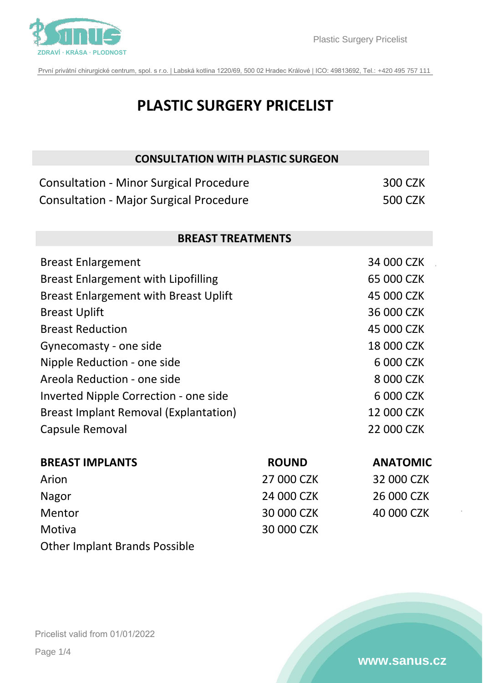

První privátní chirurgické centrum, spol. s r.o. | Labská kotlina 1220/69, 500 02 Hradec Králové | IČO: 49813692, Tel.: +420 495 757 111

| <b>PLASTIC SURGERY PRICELIST</b>               |              |                 |  |  |
|------------------------------------------------|--------------|-----------------|--|--|
| <b>CONSULTATION WITH PLASTIC SURGEON</b>       |              |                 |  |  |
| <b>Consultation - Minor Surgical Procedure</b> |              | <b>300 CZK</b>  |  |  |
| <b>Consultation - Major Surgical Procedure</b> |              | <b>500 CZK</b>  |  |  |
| <b>BREAST TREATMENTS</b>                       |              |                 |  |  |
| <b>Breast Enlargement</b>                      |              | 34 000 CZK      |  |  |
| <b>Breast Enlargement with Lipofilling</b>     |              | 65 000 CZK      |  |  |
| <b>Breast Enlargement with Breast Uplift</b>   |              | 45 000 CZK      |  |  |
| <b>Breast Uplift</b>                           |              | 36 000 CZK      |  |  |
| <b>Breast Reduction</b>                        |              | 45 000 CZK      |  |  |
| Gynecomasty - one side                         |              | 18 000 CZK      |  |  |
| Nipple Reduction - one side                    |              | 6 000 CZK       |  |  |
| Areola Reduction - one side                    |              | 8 000 CZK       |  |  |
| Inverted Nipple Correction - one side          |              | 6 000 CZK       |  |  |
| <b>Breast Implant Removal (Explantation)</b>   |              | 12 000 CZK      |  |  |
| Capsule Removal                                |              | 22 000 CZK      |  |  |
| <b>BREAST IMPLANTS</b>                         | <b>ROUND</b> | <b>ANATOMIC</b> |  |  |
| Arion                                          | 27 000 CZK   | 32 000 CZK      |  |  |
| Nagor                                          | 24 000 CZK   | 26 000 CZK      |  |  |
| Mentor                                         | 30 000 CZK   | 40 000 CZK      |  |  |
| Motiva                                         | 30 000 CZK   |                 |  |  |

Other Implant Brands Possible

Pricelist valid from 01/01/2022 Page 1/4

### **[www.sanus.cz](http://www.sanus.cz)**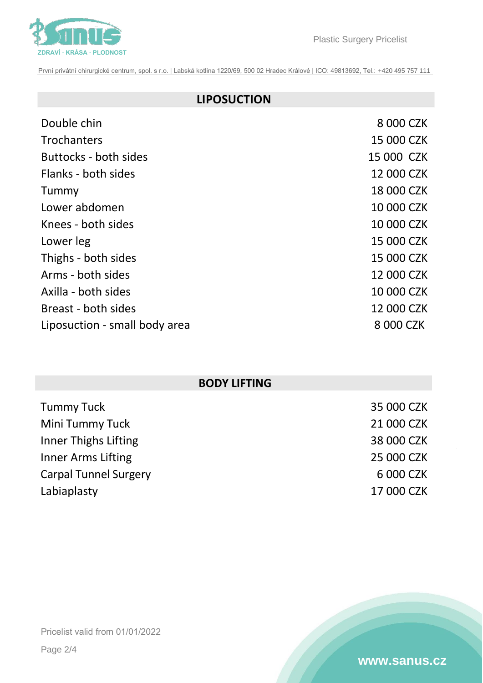

První privátní chirurgické centrum, spol. s r.o. | Labská kotlina 1220/69, 500 02 Hradec Králové | IČO: 49813692, Tel.: +420 495 757 111

# **[LIPOSUCTION](https://www.sanus.cz/liposukce-bodyjet/)**

| Double chin                   | 8 000 CZK  |
|-------------------------------|------------|
| <b>Trochanters</b>            | 15 000 CZK |
| <b>Buttocks - both sides</b>  | 15 000 CZK |
| Flanks - both sides           | 12 000 CZK |
| Tummy                         | 18 000 CZK |
| Lower abdomen                 | 10 000 CZK |
| Knees - both sides            | 10 000 CZK |
| Lower leg                     | 15 000 CZK |
| Thighs - both sides           | 15 000 CZK |
| Arms - both sides             | 12 000 CZK |
| Axilla - both sides           | 10 000 CZK |
| Breast - both sides           | 12 000 CZK |
| Liposuction - small body area | 8 000 CZK  |
|                               |            |

# **BODY LIFTING**

| <b>Tummy Tuck</b>            | 35 000 CZK |
|------------------------------|------------|
| Mini Tummy Tuck              | 21 000 CZK |
| Inner Thighs Lifting         | 38 000 CZK |
| Inner Arms Lifting           | 25 000 CZK |
| <b>Carpal Tunnel Surgery</b> | 6 000 CZK  |
| Labiaplasty                  | 17 000 CZK |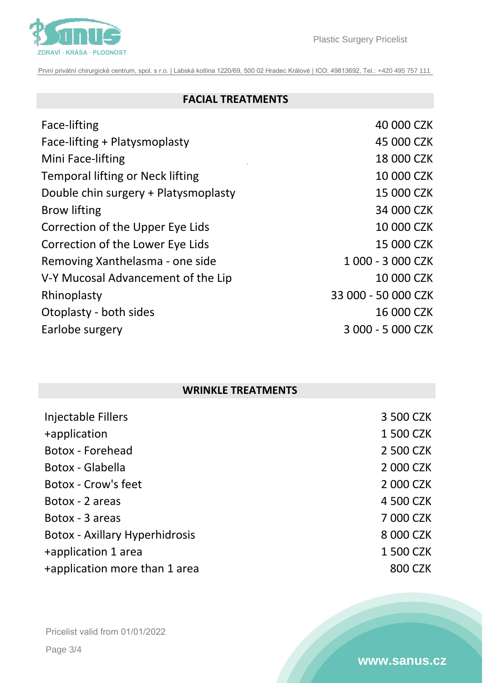

Plastic Surgery Pricelist

První privátní chirurgické centrum, spol. s r.o. | Labská kotlina 1220/69, 500 02 Hradec Králové | IČO: 49813692, Tel.: +420 495 757 111

## **[FACIAL TREATMENTS](https://www.sanus.cz/plasticka-chirurgie/tvarovani-postavy)**

| Face-lifting                         | 40 000 CZK          |
|--------------------------------------|---------------------|
| Face-lifting + Platysmoplasty        | 45 000 CZK          |
| Mini Face-lifting                    | 18 000 CZK          |
| Temporal lifting or Neck lifting     | 10 000 CZK          |
| Double chin surgery + Platysmoplasty | 15 000 CZK          |
| <b>Brow lifting</b>                  | 34 000 CZK          |
| Correction of the Upper Eye Lids     | 10 000 CZK          |
| Correction of the Lower Eye Lids     | 15 000 CZK          |
| Removing Xanthelasma - one side      | 1 000 - 3 000 CZK   |
| V-Y Mucosal Advancement of the Lip   | 10 000 CZK          |
| Rhinoplasty                          | 33 000 - 50 000 CZK |
| Otoplasty - both sides               | 16 000 CZK          |
| Earlobe surgery                      | 3 000 - 5 000 CZK   |
|                                      |                     |

## **WRINKLE TREATMENTS**

| Injectable Fillers                    | 3 500 CZK |
|---------------------------------------|-----------|
| +application                          | 1 500 CZK |
| Botox - Forehead                      | 2 500 CZK |
| Botox - Glabella                      | 2 000 CZK |
| <b>Botox - Crow's feet</b>            | 2 000 CZK |
| Botox - 2 areas                       | 4 500 CZK |
| Botox - 3 areas                       | 7 000 CZK |
| <b>Botox - Axillary Hyperhidrosis</b> | 8 000 CZK |
| +application 1 area                   | 1 500 CZK |
| +application more than 1 area         | 800 CZK   |

Pricelist valid from 01/01/2022

Page 3/4

#### **[www.sanus.cz](http://www.sanus.cz)**